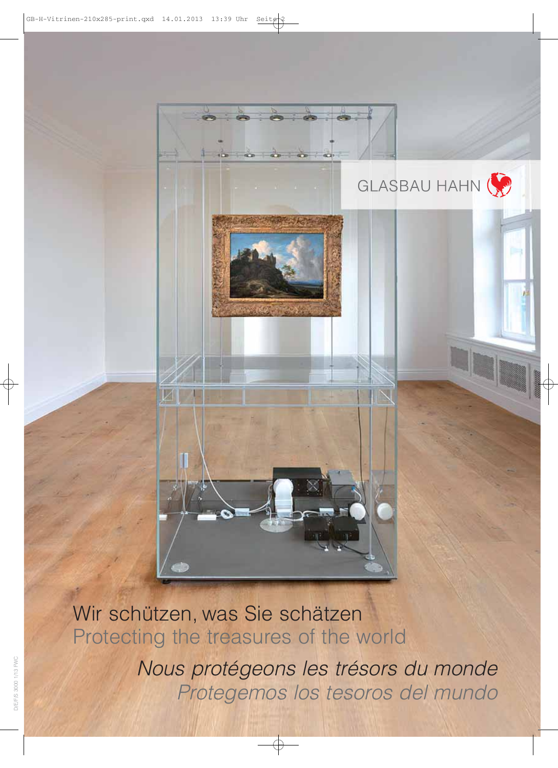

Wir schützen, was Sie schätzen Protecting the treasures of the world

> Nous protégeons les trésors du monde Protegemos los tesoros del mundo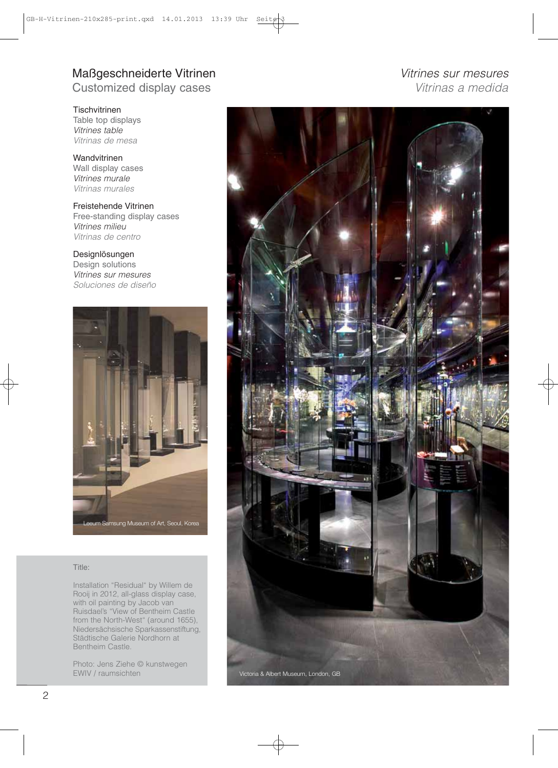## Maßgeschneiderte Vitrinen Vitrines sur mesures Customized display cases **Vitrings** a medida

**Tischvitrinen** Table top displays Vitrines table Vitrinas de mesa

Wandvitrinen Wall display cases Vitrines murale Vitrinas murales

Freistehende Vitrinen Free-standing display cases Vitrines milieu Vitrinas de centro

Designlösungen Design solutions Vitrines sur mesures Soluciones de diseño



### Title:

Installation "Residual" by Willem de Rooij in 2012, all-glass display case, with oil painting by Jacob van Ruisdael's "View of Bentheim Castle from the North-West" (around 1655), Niedersächsische Sparkassenstiftung, Städtische Galerie Nordhorn at Bentheim Castle.

Photo: Jens Ziehe © kunstwegen EWIV / raumsichten

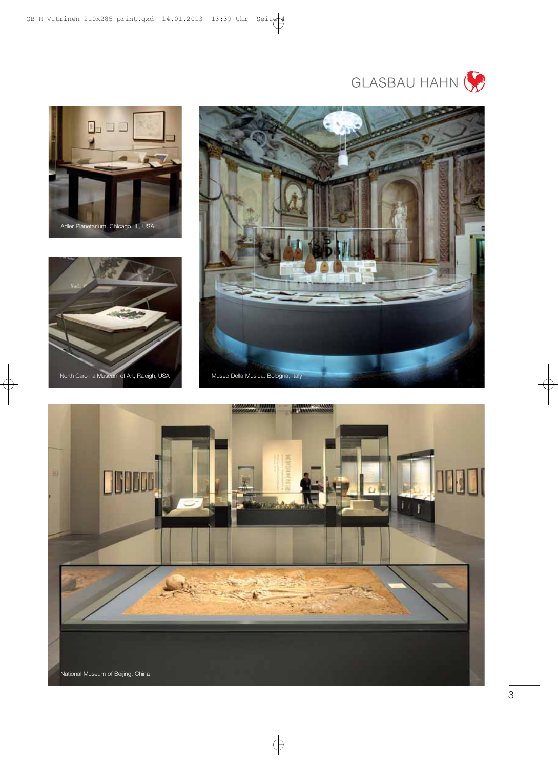









3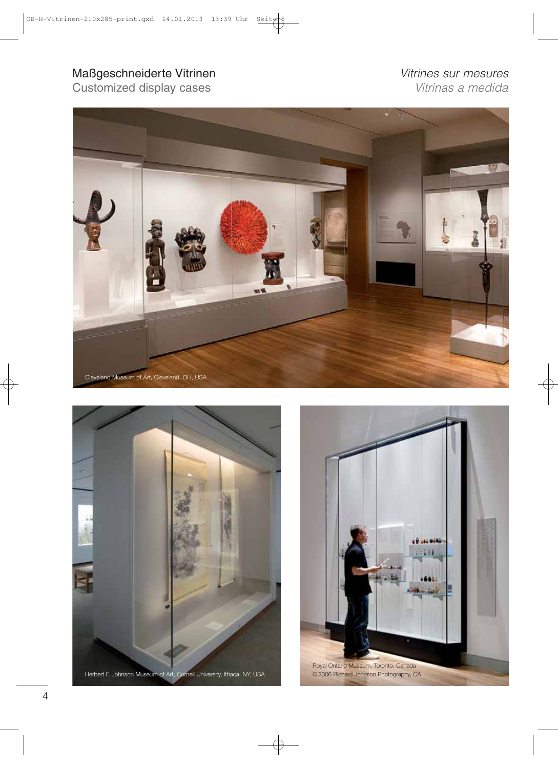# Maßgeschneiderte Vitrinen Vitrines sur mesures<br>
Customized display cases<br>
Vitrinas a medida

Customized display cases





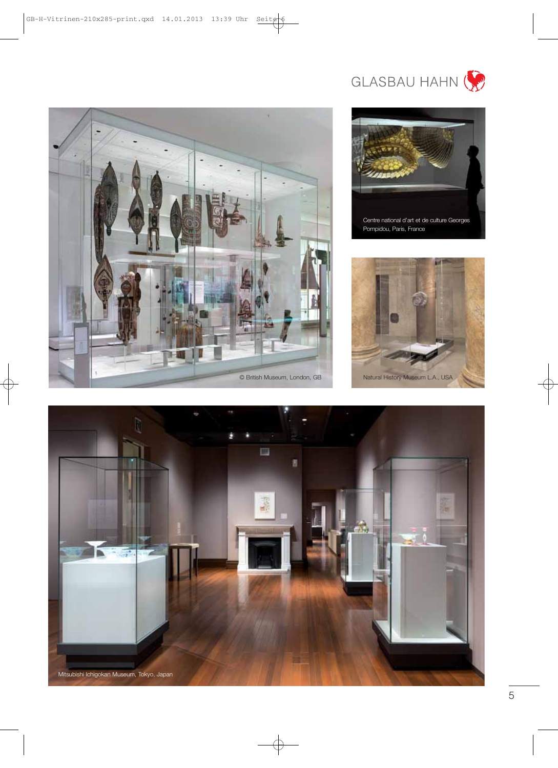



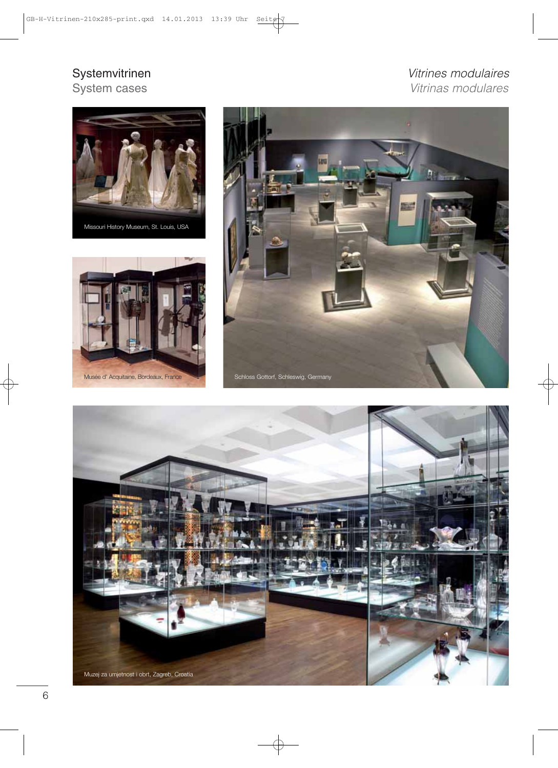# Systemvitrinen Vitrines modulaires<br>System cases vitrines modulaires Vitrinas modulares







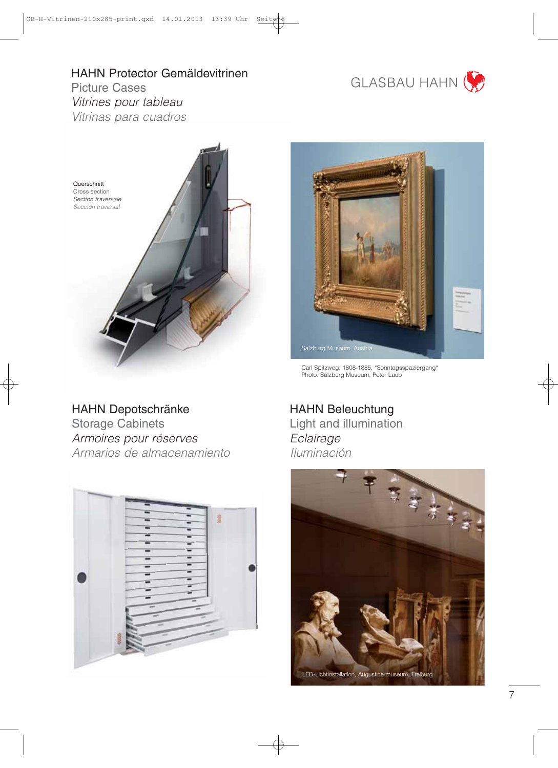# HAHN Protector Gemäldevitrinen



Picture Cases Vitrines pour tableau Vitrinas para cuadros



HAHN Depotschränke Storage Cabinets Armoires pour réserves Armarios de almacenamiento





Carl Spitzweg, 1808-1885, "Sonntagsspaziergang" Photo: Salzburg Museum, Peter Laub

HAHN Beleuchtung Light and illumination **Eclairage** Iluminación